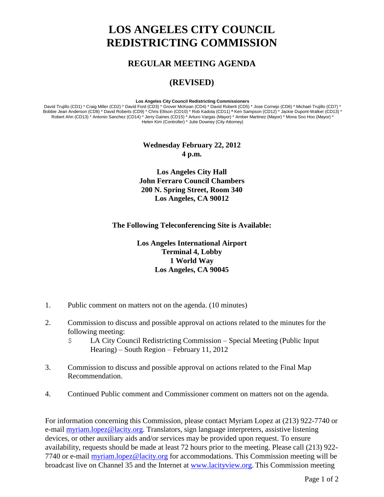## **LOS ANGELES CITY COUNCIL REDISTRICTING COMMISSION**

## **REGULAR MEETING AGENDA**

## **(REVISED)**

## **Los Angeles City Council Redistricting Commissioners**

David Trujillo (CD1) \* Craig Miller (CD2) \* David Ford (CD3) \* Grover McKean (CD4) \* David Roberti (CD5) \* Jose Cornejo (CD6) \* Michael Trujillo (CD7) \* Bobbie Jean Anderson (CD8) \* David Roberts (CD9) \* Chris Ellison (CD10) \* Rob Kadota (CD11) **\*** Ken Sampson (CD12) \* Jackie Dupont-Walker (CD13) \* Robert Ahn (CD13) \* Antonio Sanchez (CD14) \* Jerry Gaines (CD15) \* Arturo Vargas (Mayor) \* Amber Martinez (Mayor) \* Mona Soo Hoo (Mayor) \* Helen Kim (Controller) \* Julie Downey (City Attorney)

> **Wednesday February 22, 2012 4 p.m.**

**Los Angeles City Hall John Ferraro Council Chambers 200 N. Spring Street, Room 340 Los Angeles, CA 90012**

**The Following Teleconferencing Site is Available:**

**Los Angeles International Airport Terminal 4, Lobby 1 World Way Los Angeles, CA 90045**

- 1. Public comment on matters not on the agenda. (10 minutes)
- 2. Commission to discuss and possible approval on actions related to the minutes for the following meeting:
	- \$ LA City Council Redistricting Commission Special Meeting (Public Input Hearing) – South Region – February 11, 2012
- 3. Commission to discuss and possible approval on actions related to the Final Map Recommendation.
- 4. Continued Public comment and Commissioner comment on matters not on the agenda.

For information concerning this Commission, please contact Myriam Lopez at (213) 922-7740 or e-mail [myriam.lopez@lacity.org.](mailto:myriam.lopez@lacity.org) Translators, sign language interpreters, assistive listening devices, or other auxiliary aids and/or services may be provided upon request. To ensure availability, requests should be made at least 72 hours prior to the meeting. Please call (213) 922- 7740 or e-mail [myriam.lopez@lacity.org](mailto:myriam.lopez@lacity.org) for accommodations. This Commission meeting will be broadcast live on Channel 35 and the Internet at [www.lacityview.org.](http://www.lacityview.org/) This Commission meeting